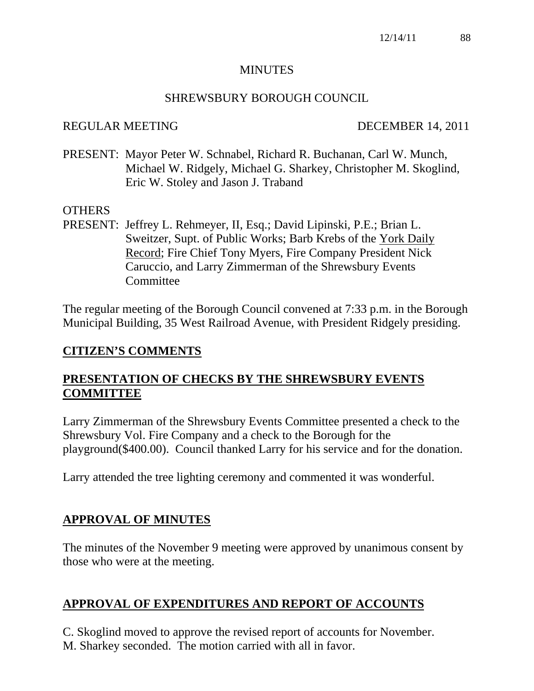#### MINUTES

#### SHREWSBURY BOROUGH COUNCIL

#### REGULAR MEETING DECEMBER 14, 2011

PRESENT: Mayor Peter W. Schnabel, Richard R. Buchanan, Carl W. Munch, Michael W. Ridgely, Michael G. Sharkey, Christopher M. Skoglind, Eric W. Stoley and Jason J. Traband

#### OTHERS

PRESENT: Jeffrey L. Rehmeyer, II, Esq.; David Lipinski, P.E.; Brian L. Sweitzer, Supt. of Public Works; Barb Krebs of the York Daily Record; Fire Chief Tony Myers, Fire Company President Nick Caruccio, and Larry Zimmerman of the Shrewsbury Events **Committee** 

The regular meeting of the Borough Council convened at 7:33 p.m. in the Borough Municipal Building, 35 West Railroad Avenue, with President Ridgely presiding.

#### **CITIZEN'S COMMENTS**

#### **PRESENTATION OF CHECKS BY THE SHREWSBURY EVENTS COMMITTEE**

Larry Zimmerman of the Shrewsbury Events Committee presented a check to the Shrewsbury Vol. Fire Company and a check to the Borough for the playground(\$400.00). Council thanked Larry for his service and for the donation.

Larry attended the tree lighting ceremony and commented it was wonderful.

# **APPROVAL OF MINUTES**

The minutes of the November 9 meeting were approved by unanimous consent by those who were at the meeting.

# **APPROVAL OF EXPENDITURES AND REPORT OF ACCOUNTS**

C. Skoglind moved to approve the revised report of accounts for November. M. Sharkey seconded. The motion carried with all in favor.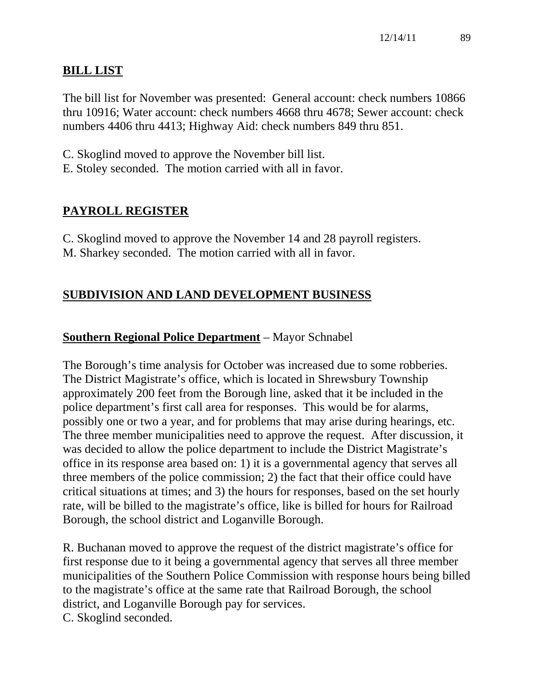# **BILL LIST**

The bill list for November was presented: General account: check numbers 10866 thru 10916; Water account: check numbers 4668 thru 4678; Sewer account: check numbers 4406 thru 4413; Highway Aid: check numbers 849 thru 851.

- C. Skoglind moved to approve the November bill list.
- E. Stoley seconded. The motion carried with all in favor.

# **PAYROLL REGISTER**

C. Skoglind moved to approve the November 14 and 28 payroll registers. M. Sharkey seconded. The motion carried with all in favor.

# **SUBDIVISION AND LAND DEVELOPMENT BUSINESS**

# **Southern Regional Police Department** – Mayor Schnabel

The Borough's time analysis for October was increased due to some robberies. The District Magistrate's office, which is located in Shrewsbury Township approximately 200 feet from the Borough line, asked that it be included in the police department's first call area for responses. This would be for alarms, possibly one or two a year, and for problems that may arise during hearings, etc. The three member municipalities need to approve the request. After discussion, it was decided to allow the police department to include the District Magistrate's office in its response area based on: 1) it is a governmental agency that serves all three members of the police commission; 2) the fact that their office could have critical situations at times; and 3) the hours for responses, based on the set hourly rate, will be billed to the magistrate's office, like is billed for hours for Railroad Borough, the school district and Loganville Borough.

R. Buchanan moved to approve the request of the district magistrate's office for first response due to it being a governmental agency that serves all three member municipalities of the Southern Police Commission with response hours being billed to the magistrate's office at the same rate that Railroad Borough, the school district, and Loganville Borough pay for services. C. Skoglind seconded.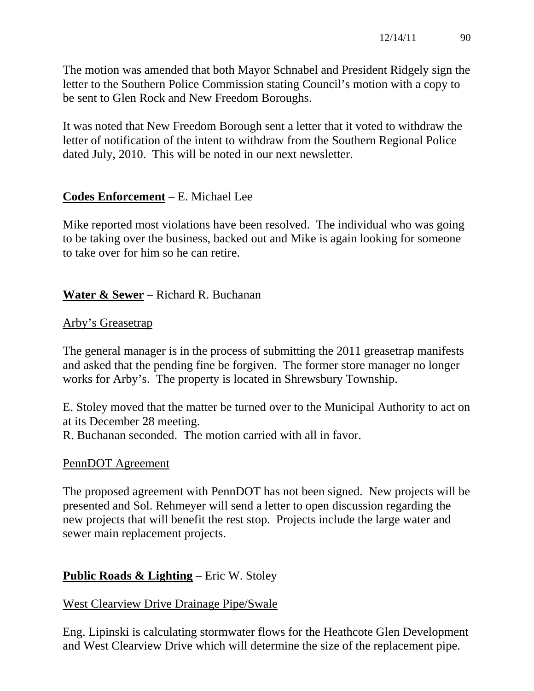The motion was amended that both Mayor Schnabel and President Ridgely sign the letter to the Southern Police Commission stating Council's motion with a copy to be sent to Glen Rock and New Freedom Boroughs.

It was noted that New Freedom Borough sent a letter that it voted to withdraw the letter of notification of the intent to withdraw from the Southern Regional Police dated July, 2010. This will be noted in our next newsletter.

# **Codes Enforcement** – E. Michael Lee

Mike reported most violations have been resolved. The individual who was going to be taking over the business, backed out and Mike is again looking for someone to take over for him so he can retire.

# **Water & Sewer** – Richard R. Buchanan

## Arby's Greasetrap

The general manager is in the process of submitting the 2011 greasetrap manifests and asked that the pending fine be forgiven. The former store manager no longer works for Arby's. The property is located in Shrewsbury Township.

E. Stoley moved that the matter be turned over to the Municipal Authority to act on at its December 28 meeting.

R. Buchanan seconded. The motion carried with all in favor.

#### PennDOT Agreement

The proposed agreement with PennDOT has not been signed. New projects will be presented and Sol. Rehmeyer will send a letter to open discussion regarding the new projects that will benefit the rest stop. Projects include the large water and sewer main replacement projects.

# **Public Roads & Lighting** – Eric W. Stoley

# West Clearview Drive Drainage Pipe/Swale

Eng. Lipinski is calculating stormwater flows for the Heathcote Glen Development and West Clearview Drive which will determine the size of the replacement pipe.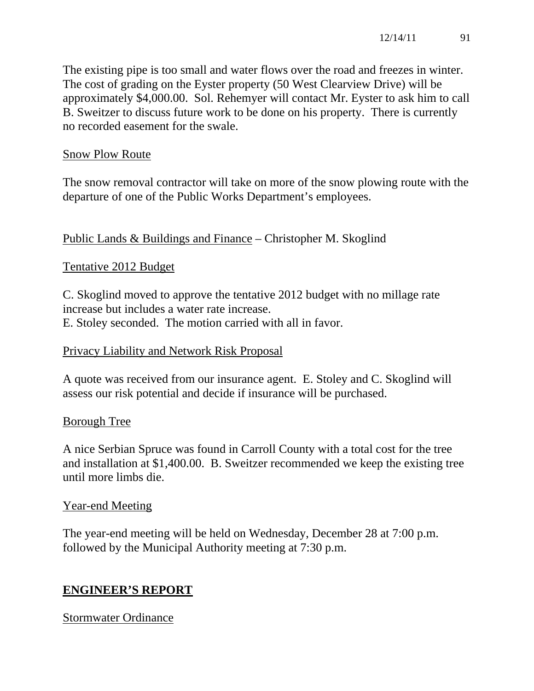The existing pipe is too small and water flows over the road and freezes in winter. The cost of grading on the Eyster property (50 West Clearview Drive) will be approximately \$4,000.00. Sol. Rehemyer will contact Mr. Eyster to ask him to call B. Sweitzer to discuss future work to be done on his property. There is currently no recorded easement for the swale.

### Snow Plow Route

The snow removal contractor will take on more of the snow plowing route with the departure of one of the Public Works Department's employees.

## Public Lands & Buildings and Finance – Christopher M. Skoglind

#### Tentative 2012 Budget

C. Skoglind moved to approve the tentative 2012 budget with no millage rate increase but includes a water rate increase.

E. Stoley seconded. The motion carried with all in favor.

#### Privacy Liability and Network Risk Proposal

A quote was received from our insurance agent. E. Stoley and C. Skoglind will assess our risk potential and decide if insurance will be purchased.

#### Borough Tree

A nice Serbian Spruce was found in Carroll County with a total cost for the tree and installation at \$1,400.00. B. Sweitzer recommended we keep the existing tree until more limbs die.

#### Year-end Meeting

The year-end meeting will be held on Wednesday, December 28 at 7:00 p.m. followed by the Municipal Authority meeting at 7:30 p.m.

# **ENGINEER'S REPORT**

#### Stormwater Ordinance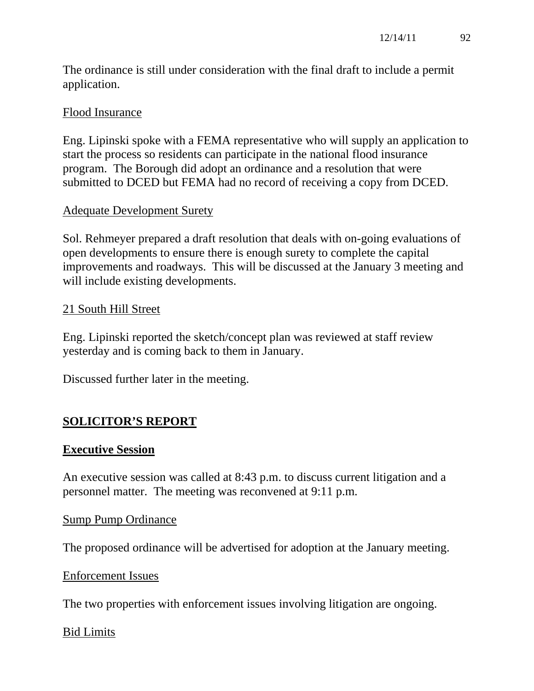The ordinance is still under consideration with the final draft to include a permit application.

## Flood Insurance

Eng. Lipinski spoke with a FEMA representative who will supply an application to start the process so residents can participate in the national flood insurance program. The Borough did adopt an ordinance and a resolution that were submitted to DCED but FEMA had no record of receiving a copy from DCED.

# Adequate Development Surety

Sol. Rehmeyer prepared a draft resolution that deals with on-going evaluations of open developments to ensure there is enough surety to complete the capital improvements and roadways. This will be discussed at the January 3 meeting and will include existing developments.

# 21 South Hill Street

Eng. Lipinski reported the sketch/concept plan was reviewed at staff review yesterday and is coming back to them in January.

Discussed further later in the meeting.

# **SOLICITOR'S REPORT**

# **Executive Session**

An executive session was called at 8:43 p.m. to discuss current litigation and a personnel matter. The meeting was reconvened at 9:11 p.m.

#### Sump Pump Ordinance

The proposed ordinance will be advertised for adoption at the January meeting.

# Enforcement Issues

The two properties with enforcement issues involving litigation are ongoing.

# Bid Limits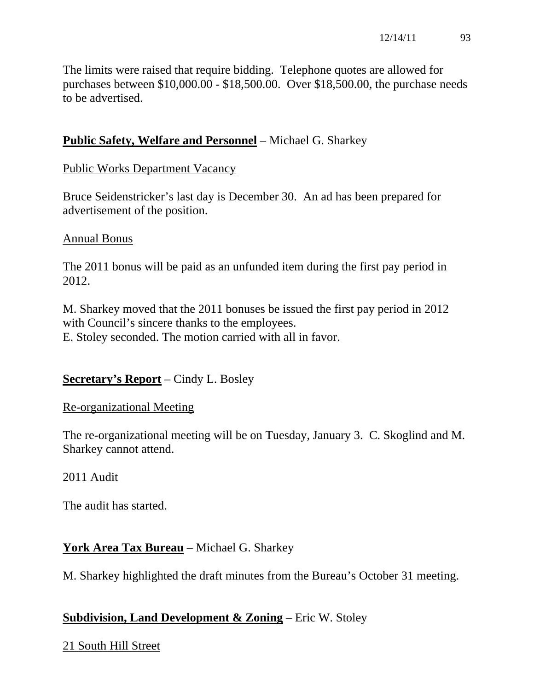The limits were raised that require bidding. Telephone quotes are allowed for purchases between \$10,000.00 - \$18,500.00. Over \$18,500.00, the purchase needs to be advertised.

# **Public Safety, Welfare and Personnel** – Michael G. Sharkey

#### Public Works Department Vacancy

Bruce Seidenstricker's last day is December 30. An ad has been prepared for advertisement of the position.

#### Annual Bonus

The 2011 bonus will be paid as an unfunded item during the first pay period in 2012.

M. Sharkey moved that the 2011 bonuses be issued the first pay period in 2012 with Council's sincere thanks to the employees. E. Stoley seconded. The motion carried with all in favor.

#### **Secretary's Report** – Cindy L. Bosley

#### Re-organizational Meeting

The re-organizational meeting will be on Tuesday, January 3. C. Skoglind and M. Sharkey cannot attend.

#### 2011 Audit

The audit has started.

# **York Area Tax Bureau** – Michael G. Sharkey

M. Sharkey highlighted the draft minutes from the Bureau's October 31 meeting.

# **Subdivision, Land Development & Zoning** – Eric W. Stoley

# 21 South Hill Street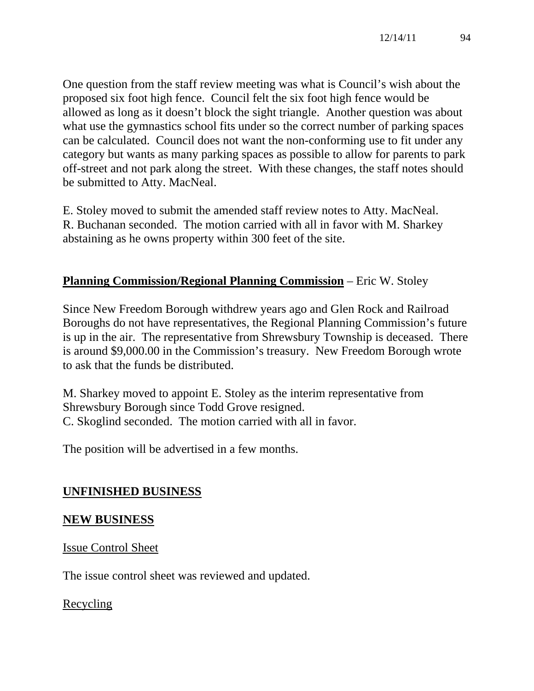One question from the staff review meeting was what is Council's wish about the proposed six foot high fence. Council felt the six foot high fence would be allowed as long as it doesn't block the sight triangle. Another question was about what use the gymnastics school fits under so the correct number of parking spaces can be calculated. Council does not want the non-conforming use to fit under any category but wants as many parking spaces as possible to allow for parents to park off-street and not park along the street. With these changes, the staff notes should be submitted to Atty. MacNeal.

E. Stoley moved to submit the amended staff review notes to Atty. MacNeal. R. Buchanan seconded. The motion carried with all in favor with M. Sharkey abstaining as he owns property within 300 feet of the site.

# **Planning Commission/Regional Planning Commission** – Eric W. Stoley

Since New Freedom Borough withdrew years ago and Glen Rock and Railroad Boroughs do not have representatives, the Regional Planning Commission's future is up in the air. The representative from Shrewsbury Township is deceased. There is around \$9,000.00 in the Commission's treasury. New Freedom Borough wrote to ask that the funds be distributed.

M. Sharkey moved to appoint E. Stoley as the interim representative from Shrewsbury Borough since Todd Grove resigned. C. Skoglind seconded. The motion carried with all in favor.

The position will be advertised in a few months.

#### **UNFINISHED BUSINESS**

#### **NEW BUSINESS**

Issue Control Sheet

The issue control sheet was reviewed and updated.

Recycling